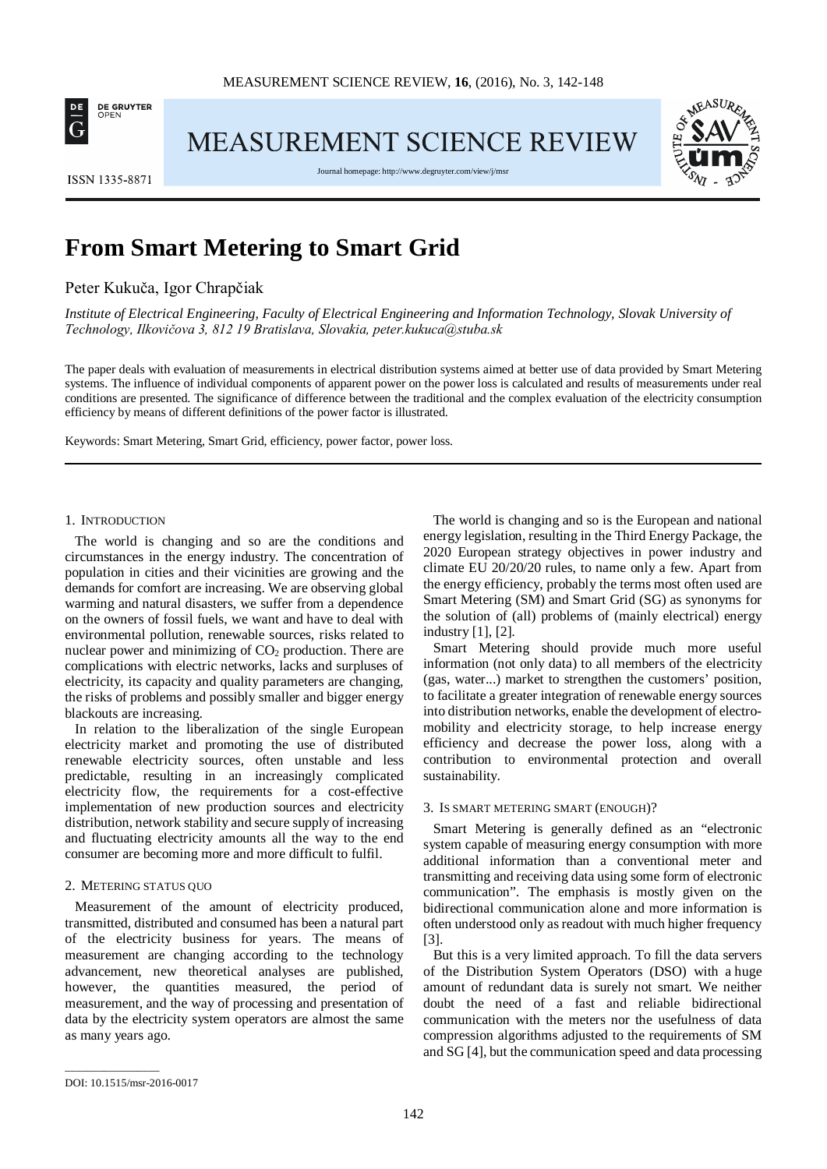

MEASUREMENT SCIENCE REVIEW



**ISSN 1335-8871** 

Journal homepage[: http://www.degruyter.com/view/j/msr](http://www.degruyter.com/view/j/msr)

# **From Smart Metering to Smart Grid**

## Peter Kukuča, Igor Chrapčiak

*Institute of Electrical Engineering, Faculty of Electrical Engineering and Information Technology, Slovak University of Technology, Ilkovičova 3, 812 19 Bratislava, Slovakia, peter.kukuca@stuba.sk*

The paper deals with evaluation of measurements in electrical distribution systems aimed at better use of data provided by Smart Metering systems. The influence of individual components of apparent power on the power loss is calculated and results of measurements under real conditions are presented. The significance of difference between the traditional and the complex evaluation of the electricity consumption efficiency by means of different definitions of the power factor is illustrated.

Keywords: Smart Metering, Smart Grid, efficiency, power factor, power loss.

#### 1. INTRODUCTION

The world is changing and so are the conditions and circumstances in the energy industry. The concentration of population in cities and their vicinities are growing and the demands for comfort are increasing. We are observing global warming and natural disasters, we suffer from a dependence on the owners of fossil fuels, we want and have to deal with environmental pollution, renewable sources, risks related to nuclear power and minimizing of  $CO<sub>2</sub>$  production. There are complications with electric networks, lacks and surpluses of electricity, its capacity and quality parameters are changing, the risks of problems and possibly smaller and bigger energy blackouts are increasing.

In relation to the liberalization of the single European electricity market and promoting the use of distributed renewable electricity sources, often unstable and less predictable, resulting in an increasingly complicated electricity flow, the requirements for a cost-effective implementation of new production sources and electricity distribution, network stability and secure supply of increasing and fluctuating electricity amounts all the way to the end consumer are becoming more and more difficult to fulfil.

#### 2. METERING STATUS QUO

Measurement of the amount of electricity produced, transmitted, distributed and consumed has been a natural part of the electricity business for years. The means of measurement are changing according to the technology advancement, new theoretical analyses are published, however, the quantities measured, the period of measurement, and the way of processing and presentation of data by the electricity system operators are almost the same as many years ago.

The world is changing and so is the European and national energy legislation, resulting in the Third Energy Package, the 2020 European strategy objectives in power industry and climate EU 20/20/20 rules, to name only a few. Apart from the energy efficiency, probably the terms most often used are Smart Metering (SM) and Smart Grid (SG) as synonyms for the solution of (all) problems of (mainly electrical) energy industry [1], [2].

Smart Metering should provide much more useful information (not only data) to all members of the electricity (gas, water...) market to strengthen the customers' position, to facilitate a greater integration of renewable energy sources into distribution networks, enable the development of electromobility and electricity storage, to help increase energy efficiency and decrease the power loss, along with a contribution to environmental protection and overall sustainability.

#### 3. IS SMART METERING SMART (ENOUGH)?

Smart Metering is generally defined as an "electronic system capable of measuring energy consumption with more additional information than a conventional meter and transmitting and receiving data using some form of electronic communication". The emphasis is mostly given on the bidirectional communication alone and more information is often understood only as readout with much higher frequency [3].

But this is a very limited approach. To fill the data servers of the Distribution System Operators (DSO) with a huge amount of redundant data is surely not smart. We neither doubt the need of a fast and reliable bidirectional communication with the meters nor the usefulness of data compression algorithms adjusted to the requirements of SM and SG [4], but the communication speed and data processing

\_\_\_\_\_\_\_\_\_\_\_\_\_\_\_\_\_

DOI: 10.1515/msr-2016-0017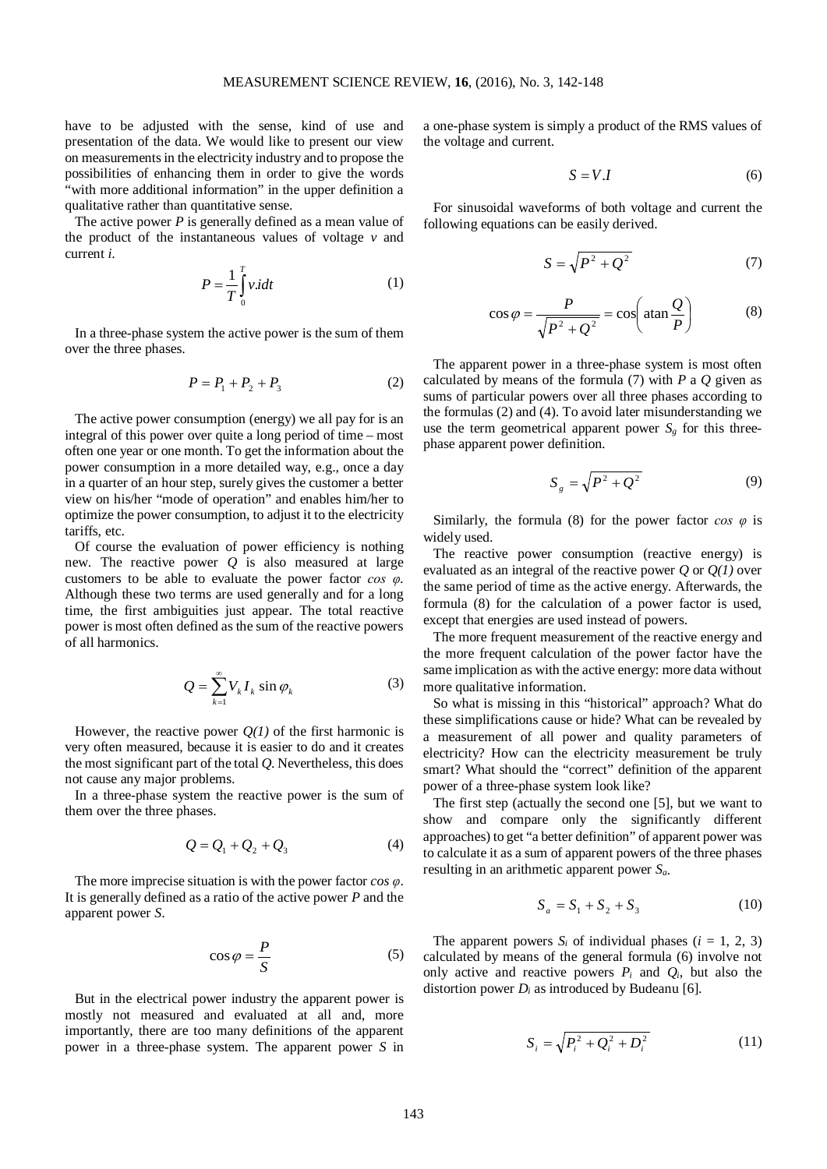have to be adjusted with the sense, kind of use and presentation of the data. We would like to present our view on measurements in the electricity industry and to propose the possibilities of enhancing them in order to give the words "with more additional information" in the upper definition a qualitative rather than quantitative sense.

The active power *P* is generally defined as a mean value of the product of the instantaneous values of voltage *v* and current *i*.

$$
P = \frac{1}{T} \int_{0}^{T} v \cdot d\tau \tag{1}
$$

In a three-phase system the active power is the sum of them over the three phases.

$$
P = P_1 + P_2 + P_3 \tag{2}
$$

The active power consumption (energy) we all pay for is an integral of this power over quite a long period of time – most often one year or one month. To get the information about the power consumption in a more detailed way, e.g., once a day in a quarter of an hour step, surely gives the customer a better view on his/her "mode of operation" and enables him/her to optimize the power consumption, to adjust it to the electricity tariffs, etc.

Of course the evaluation of power efficiency is nothing new. The reactive power *Q* is also measured at large customers to be able to evaluate the power factor *cos φ*. Although these two terms are used generally and for a long time, the first ambiguities just appear. The total reactive power is most often defined as the sum of the reactive powers of all harmonics.

$$
Q = \sum_{k=1}^{\infty} V_k I_k \sin \varphi_k \tag{3}
$$

However, the reactive power  $Q(1)$  of the first harmonic is very often measured, because it is easier to do and it creates the most significant part of the total *Q*. Nevertheless, this does not cause any major problems.

In a three-phase system the reactive power is the sum of them over the three phases.

$$
Q = Q_1 + Q_2 + Q_3 \tag{4}
$$

The more imprecise situation is with the power factor *cos φ*. It is generally defined as a ratio of the active power *P* and the apparent power *S*.

$$
\cos \varphi = \frac{P}{S} \tag{5}
$$

But in the electrical power industry the apparent power is mostly not measured and evaluated at all and, more importantly, there are too many definitions of the apparent power in a three-phase system. The apparent power *S* in

a one-phase system is simply a product of the RMS values of the voltage and current.

$$
S = V.I \tag{6}
$$

For sinusoidal waveforms of both voltage and current the following equations can be easily derived.

$$
S = \sqrt{P^2 + Q^2} \tag{7}
$$

$$
\cos \varphi = \frac{P}{\sqrt{P^2 + Q^2}} = \cos \left( \operatorname{atan} \frac{Q}{P} \right) \tag{8}
$$

The apparent power in a three-phase system is most often calculated by means of the formula (7) with *P* a *Q* given as sums of particular powers over all three phases according to the formulas (2) and (4). To avoid later misunderstanding we use the term geometrical apparent power  $S_g$  for this threephase apparent power definition.

$$
S_g = \sqrt{P^2 + Q^2} \tag{9}
$$

Similarly, the formula (8) for the power factor  $\cos \varphi$  is widely used.

The reactive power consumption (reactive energy) is evaluated as an integral of the reactive power *Q* or *Q(1)* over the same period of time as the active energy. Afterwards, the formula (8) for the calculation of a power factor is used, except that energies are used instead of powers.

The more frequent measurement of the reactive energy and the more frequent calculation of the power factor have the same implication as with the active energy: more data without more qualitative information.

So what is missing in this "historical" approach? What do these simplifications cause or hide? What can be revealed by a measurement of all power and quality parameters of electricity? How can the electricity measurement be truly smart? What should the "correct" definition of the apparent power of a three-phase system look like?

The first step (actually the second one [5], but we want to show and compare only the significantly different approaches) to get "a better definition" of apparent power was to calculate it as a sum of apparent powers of the three phases resulting in an arithmetic apparent power *Sa*.

$$
S_a = S_1 + S_2 + S_3 \tag{10}
$$

The apparent powers  $S_i$  of individual phases  $(i = 1, 2, 3)$ calculated by means of the general formula (6) involve not only active and reactive powers  $P_i$  and  $Q_i$ , but also the distortion power  $D_i$  as introduced by Budeanu [6].

$$
S_i = \sqrt{P_i^2 + Q_i^2 + D_i^2}
$$
 (11)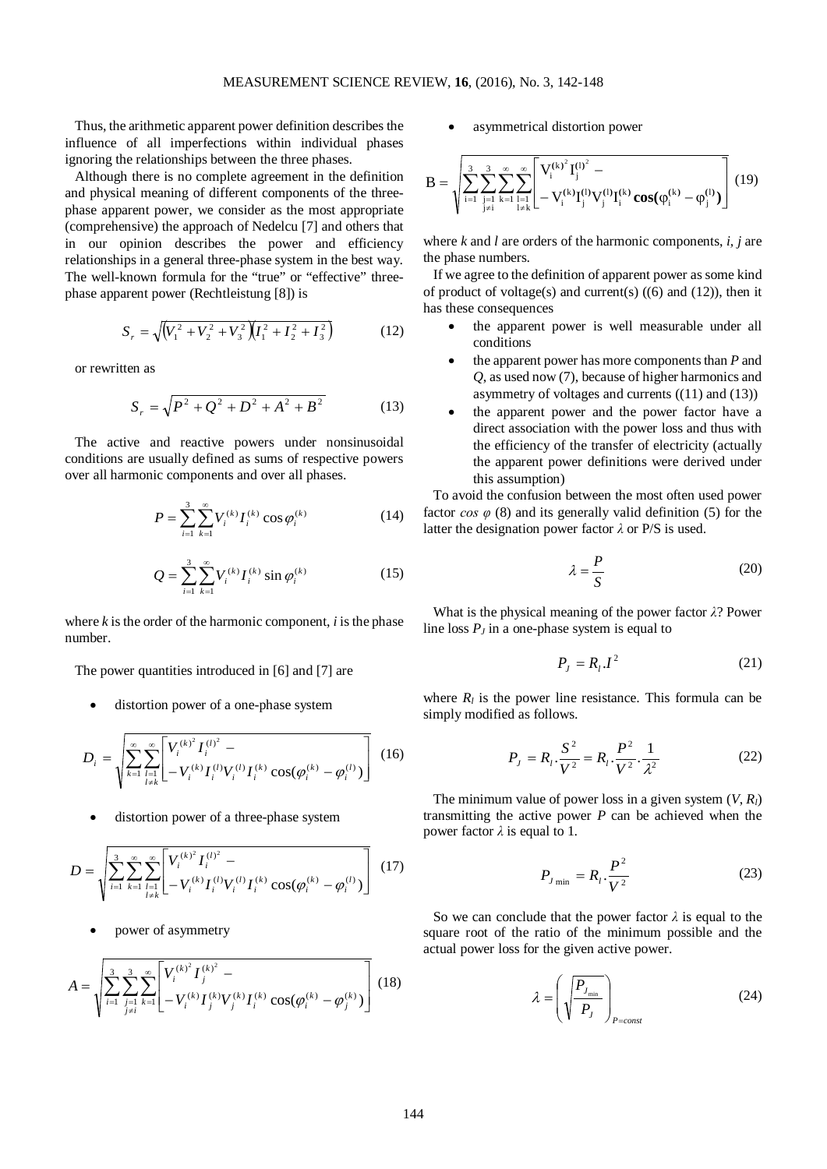Thus, the arithmetic apparent power definition describes the influence of all imperfections within individual phases ignoring the relationships between the three phases.

Although there is no complete agreement in the definition and physical meaning of different components of the threephase apparent power, we consider as the most appropriate (comprehensive) the approach of Nedelcu [7] and others that in our opinion describes the power and efficiency relationships in a general three-phase system in the best way. The well-known formula for the "true" or "effective" threephase apparent power (Rechtleistung [8]) is

$$
S_r = \sqrt{\left(V_1^2 + V_2^2 + V_3^2\right)\left(I_1^2 + I_2^2 + I_3^2\right)}
$$
(12)

or rewritten as

$$
S_r = \sqrt{P^2 + Q^2 + D^2 + A^2 + B^2}
$$
 (13)

The active and reactive powers under nonsinusoidal conditions are usually defined as sums of respective powers over all harmonic components and over all phases.

$$
P = \sum_{i=1}^{3} \sum_{k=1}^{\infty} V_i^{(k)} I_i^{(k)} \cos \varphi_i^{(k)}
$$
(14)

$$
Q = \sum_{i=1}^{3} \sum_{k=1}^{\infty} V_i^{(k)} I_i^{(k)} \sin \varphi_i^{(k)}
$$
(15)

where *k* is the order of the harmonic component, *i* is the phase number.

The power quantities introduced in [6] and [7] are

distortion power of a one-phase system

$$
D_{i} = \sqrt{\sum_{k=1}^{\infty} \sum_{\substack{l=1 \ l \neq k}}^{\infty} \left[ V_{i}^{(k)^{2}} I_{i}^{(l)^{2}} - V_{i}^{(k)} I_{i}^{(l)} V_{i}^{(l)} I_{i}^{(k)} \cos(\varphi_{i}^{(k)} - \varphi_{i}^{(l)}) \right]} \quad (16)
$$

distortion power of a three-phase system

$$
D = \sqrt{\sum_{i=1}^{3} \sum_{k=1}^{\infty} \sum_{\substack{l=1 \ l \neq k}}^{\infty} \left[ V_i^{(k)^2} I_i^{(l)^2} - V_i^{(k)} I_i^{(l)} V_i^{(l)} I_i^{(k)} \cos(\varphi_i^{(k)} - \varphi_i^{(l)}) \right]} \quad (17)
$$

• power of asymmetry

$$
A = \sqrt{\sum_{i=1}^{3} \sum_{\substack{j=1 \ j \neq i}}^{3} \sum_{k=1}^{\infty} \left[ V_i^{(k)^2} I_j^{(k)^2} - V_i^{(k)} I_j^{(k)} V_j^{(k)} I_i^{(k)} \cos(\varphi_i^{(k)} - \varphi_j^{(k)}) \right]} (18)
$$

asymmetrical distortion power

$$
B = \sqrt{\sum_{i=1}^{3} \sum_{\substack{j=1 \ j \neq i}}^{3} \sum_{k=1}^{\infty} \sum_{\substack{l=1 \ l \neq k}}^{\infty} \left[ V_i^{(k)^2} I_j^{(l)^2} - V_i^{(k)} I_j^{(l)} V_j^{(l)} I_i^{(k)} \cos(\phi_i^{(k)} - \phi_j^{(l)}) \right] (19)
$$

where *k* and *l* are orders of the harmonic components, *i, j* are the phase numbers.

If we agree to the definition of apparent power as some kind of product of voltage(s) and current(s)  $((6)$  and  $(12)$ ), then it has these consequences

- the apparent power is well measurable under all conditions
- the apparent power has more components than *P* and *Q*, as used now (7), because of higher harmonics and asymmetry of voltages and currents ((11) and (13))
- the apparent power and the power factor have a direct association with the power loss and thus with the efficiency of the transfer of electricity (actually the apparent power definitions were derived under this assumption)

To avoid the confusion between the most often used power factor  $\cos \varphi$  (8) and its generally valid definition (5) for the latter the designation power factor *λ* or P/S is used.

$$
\lambda = \frac{P}{S} \tag{20}
$$

What is the physical meaning of the power factor *λ*? Power line loss  $P_J$  in a one-phase system is equal to

$$
P_J = R_l \cdot I^2 \tag{21}
$$

where  $R_l$  is the power line resistance. This formula can be simply modified as follows.

$$
P_J = R_l \cdot \frac{S^2}{V^2} = R_l \cdot \frac{P^2}{V^2} \cdot \frac{1}{\lambda^2}
$$
 (22)

The minimum value of power loss in a given system  $(V, R)$ transmitting the active power *P* can be achieved when the power factor  $\lambda$  is equal to 1.

$$
P_{J_{\min}} = R_l \cdot \frac{P^2}{V^2} \tag{23}
$$

So we can conclude that the power factor  $\lambda$  is equal to the square root of the ratio of the minimum possible and the actual power loss for the given active power.

$$
\lambda = \left(\sqrt{\frac{P_{J_{\min}}}{P_J}}\right)_{P=const}
$$
\n(24)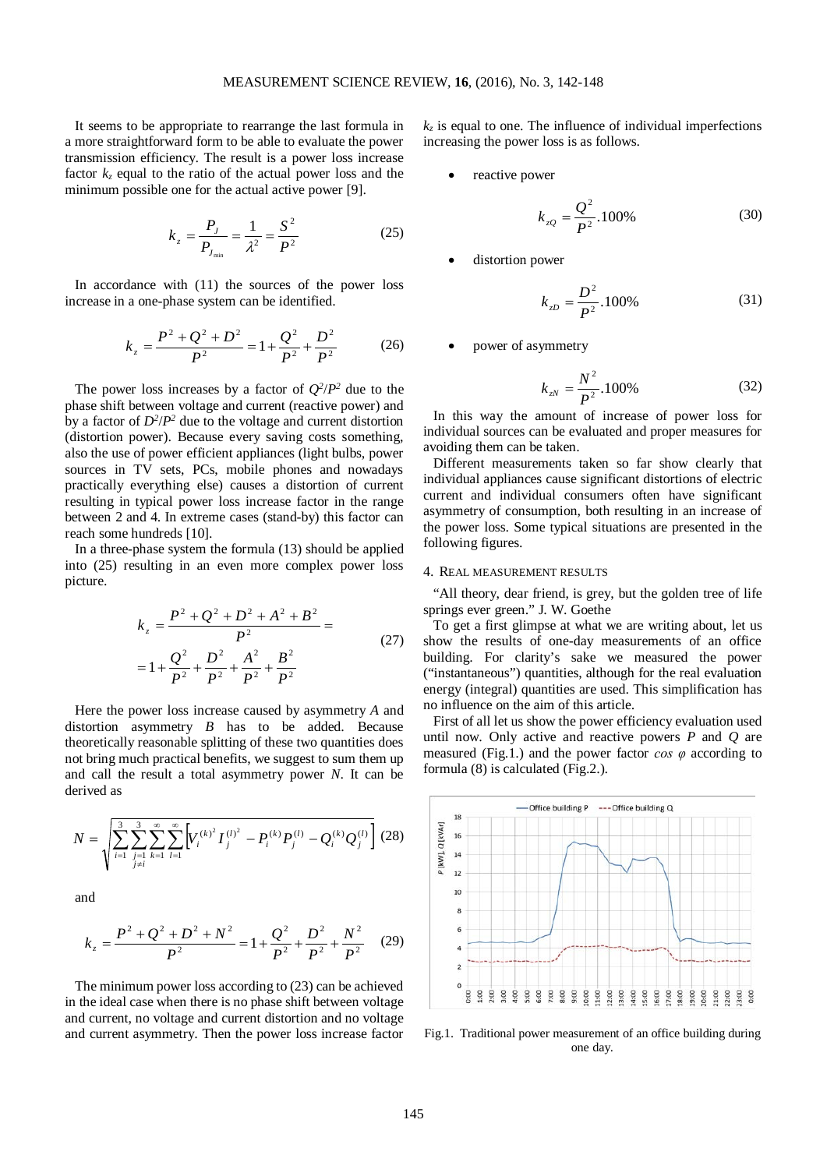It seems to be appropriate to rearrange the last formula in a more straightforward form to be able to evaluate the power transmission efficiency. The result is a power loss increase factor  $k<sub>z</sub>$  equal to the ratio of the actual power loss and the minimum possible one for the actual active power [9].

$$
k_z = \frac{P_J}{P_{J_{\min}}} = \frac{1}{\lambda^2} = \frac{S^2}{P^2}
$$
 (25)

In accordance with (11) the sources of the power loss increase in a one-phase system can be identified.

$$
k_z = \frac{P^2 + Q^2 + D^2}{P^2} = 1 + \frac{Q^2}{P^2} + \frac{D^2}{P^2}
$$
 (26)

The power loss increases by a factor of  $Q^2/P^2$  due to the phase shift between voltage and current (reactive power) and by a factor of  $D^2/P^2$  due to the voltage and current distortion (distortion power). Because every saving costs something, also the use of power efficient appliances (light bulbs, power sources in TV sets, PCs, mobile phones and nowadays practically everything else) causes a distortion of current resulting in typical power loss increase factor in the range between 2 and 4. In extreme cases (stand-by) this factor can reach some hundreds [10].

In a three-phase system the formula (13) should be applied into (25) resulting in an even more complex power loss picture.

$$
k_z = \frac{P^2 + Q^2 + D^2 + A^2 + B^2}{P^2} =
$$
  
=  $1 + \frac{Q^2}{P^2} + \frac{D^2}{P^2} + \frac{A^2}{P^2} + \frac{B^2}{P^2}$  (27)

Here the power loss increase caused by asymmetry *A* and distortion asymmetry *B* has to be added. Because theoretically reasonable splitting of these two quantities does not bring much practical benefits, we suggest to sum them up and call the result a total asymmetry power *N*. It can be derived as

$$
N = \sqrt{\sum_{i=1}^{3} \sum_{\substack{j=1 \ j \neq i}}^{3} \sum_{k=1}^{\infty} \sum_{l=1}^{\infty} \left[ V_i^{(k)^2} I_j^{(l)^2} - P_i^{(k)} P_j^{(l)} - Q_i^{(k)} Q_j^{(l)} \right] (28)}
$$

and

$$
k_z = \frac{P^2 + Q^2 + D^2 + N^2}{P^2} = 1 + \frac{Q^2}{P^2} + \frac{D^2}{P^2} + \frac{N^2}{P^2}
$$
 (29)

The minimum power loss according to (23) can be achieved in the ideal case when there is no phase shift between voltage and current, no voltage and current distortion and no voltage and current asymmetry. Then the power loss increase factor  $k_z$  is equal to one. The influence of individual imperfections increasing the power loss is as follows.

reactive power

$$
k_{zQ} = \frac{Q^2}{P^2} .100\% \tag{30}
$$

distortion power

$$
k_{zD} = \frac{D^2}{P^2} .100\% \tag{31}
$$

• power of asymmetry

$$
k_{zN} = \frac{N^2}{P^2} .100\%
$$
 (32)

In this way the amount of increase of power loss for individual sources can be evaluated and proper measures for avoiding them can be taken.

Different measurements taken so far show clearly that individual appliances cause significant distortions of electric current and individual consumers often have significant asymmetry of consumption, both resulting in an increase of the power loss. Some typical situations are presented in the following figures.

#### 4. REAL MEASUREMENT RESULTS

"All theory, dear friend, is grey, but the golden tree of life springs ever green." J. W. Goethe

To get a first glimpse at what we are writing about, let us show the results of one-day measurements of an office building. For clarity's sake we measured the power ("instantaneous") quantities, although for the real evaluation energy (integral) quantities are used. This simplification has no influence on the aim of this article.

First of all let us show the power efficiency evaluation used until now. Only active and reactive powers *P* and *Q* are measured (Fig.1.) and the power factor *cos φ* according to formula (8) is calculated (Fig.2.).



Fig.1. Traditional power measurement of an office building during one day.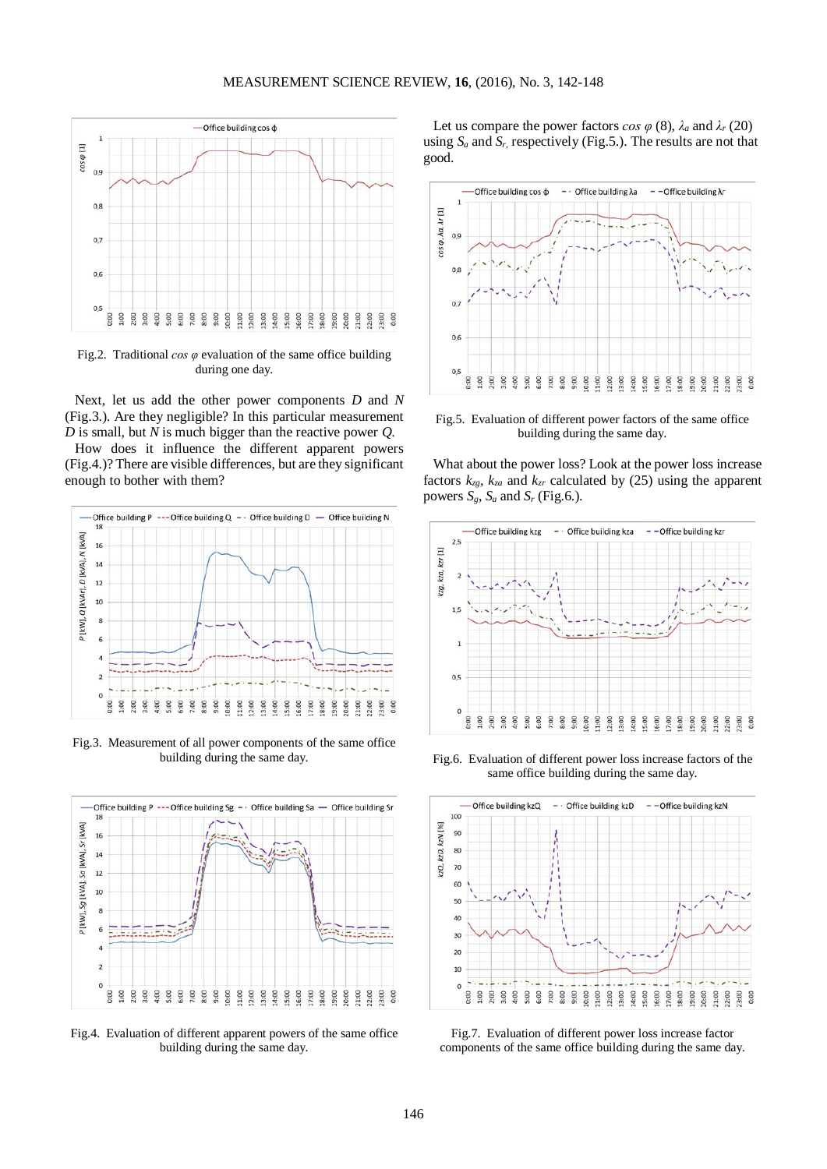

Fig.2. Traditional *cos φ* evaluation of the same office building during one day.

Next, let us add the other power components *D* and *N* (Fig.3.). Are they negligible? In this particular measurement *D* is small, but *N* is much bigger than the reactive power *Q*.

How does it influence the different apparent powers (Fig.4.)? There are visible differences, but are they significant enough to bother with them?



Fig.3. Measurement of all power components of the same office building during the same day.



Fig.4. Evaluation of different apparent powers of the same office building during the same day.

Let us compare the power factors  $\cos \varphi$  (8),  $\lambda_a$  and  $\lambda_r$  (20) using  $S_a$  and  $S_r$ , respectively (Fig.5.). The results are not that good.



Fig.5. Evaluation of different power factors of the same office building during the same day.

What about the power loss? Look at the power loss increase factors  $k_{zg}$ ,  $k_{za}$  and  $k_{zr}$  calculated by (25) using the apparent powers  $S_g$ ,  $S_a$  and  $S_r$  (Fig.6.).



Fig.6. Evaluation of different power loss increase factors of the same office building during the same day.



Fig.7. Evaluation of different power loss increase factor components of the same office building during the same day.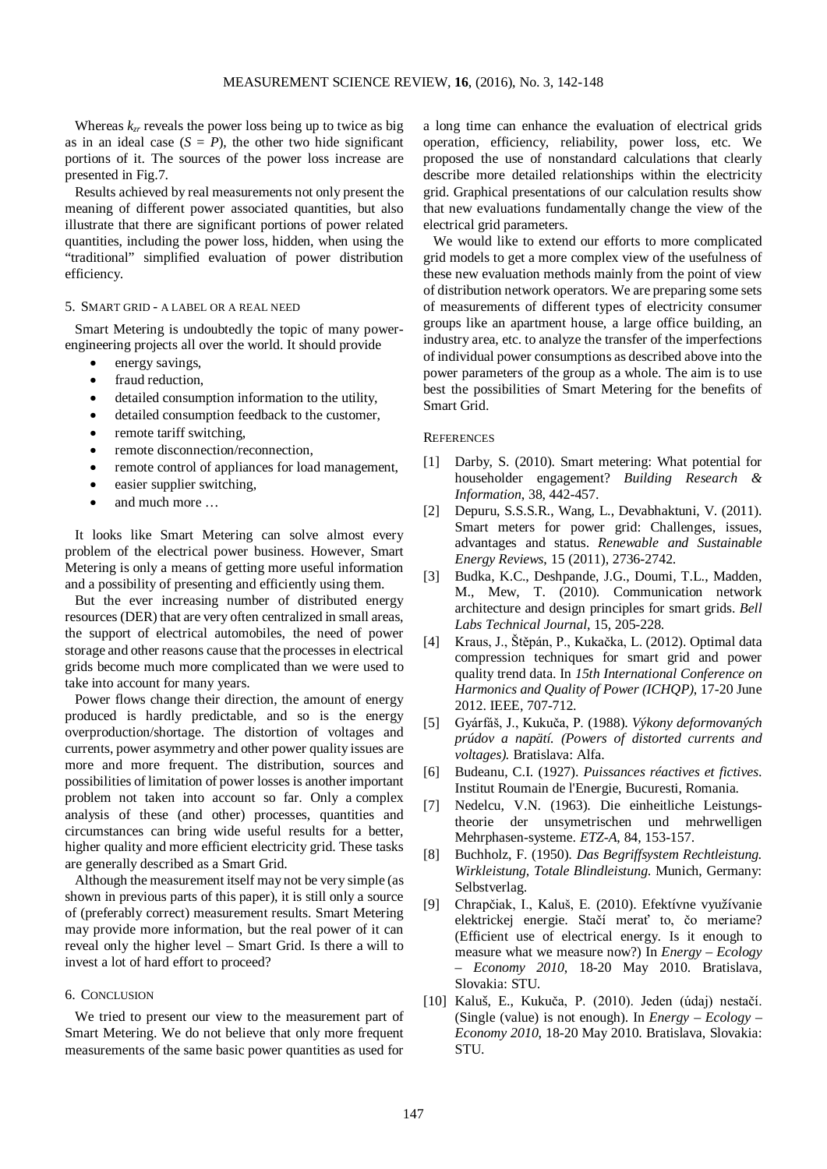Whereas  $k_{zr}$  reveals the power loss being up to twice as big as in an ideal case  $(S = P)$ , the other two hide significant portions of it. The sources of the power loss increase are presented in Fig.7.

Results achieved by real measurements not only present the meaning of different power associated quantities, but also illustrate that there are significant portions of power related quantities, including the power loss, hidden, when using the "traditional" simplified evaluation of power distribution efficiency.

#### 5. SMART GRID - A LABEL OR A REAL NEED

Smart Metering is undoubtedly the topic of many powerengineering projects all over the world. It should provide

- energy savings,
- fraud reduction,
- detailed consumption information to the utility.
- detailed consumption feedback to the customer,
- remote tariff switching,
- remote disconnection/reconnection,
- remote control of appliances for load management.
- easier supplier switching,
- and much more ...

It looks like Smart Metering can solve almost every problem of the electrical power business. However, Smart Metering is only a means of getting more useful information and a possibility of presenting and efficiently using them.

But the ever increasing number of distributed energy resources (DER) that are very often centralized in small areas, the support of electrical automobiles, the need of power storage and other reasons cause that the processes in electrical grids become much more complicated than we were used to take into account for many years.

Power flows change their direction, the amount of energy produced is hardly predictable, and so is the energy overproduction/shortage. The distortion of voltages and currents, power asymmetry and other power quality issues are more and more frequent. The distribution, sources and possibilities of limitation of power losses is another important problem not taken into account so far. Only a complex analysis of these (and other) processes, quantities and circumstances can bring wide useful results for a better, higher quality and more efficient electricity grid. These tasks are generally described as a Smart Grid.

Although the measurement itself may not be very simple (as shown in previous parts of this paper), it is still only a source of (preferably correct) measurement results. Smart Metering may provide more information, but the real power of it can reveal only the higher level – Smart Grid. Is there a will to invest a lot of hard effort to proceed?

### 6. CONCLUSION

We tried to present our view to the measurement part of Smart Metering. We do not believe that only more frequent measurements of the same basic power quantities as used for a long time can enhance the evaluation of electrical grids operation, efficiency, reliability, power loss, etc. We proposed the use of nonstandard calculations that clearly describe more detailed relationships within the electricity grid. Graphical presentations of our calculation results show that new evaluations fundamentally change the view of the electrical grid parameters.

We would like to extend our efforts to more complicated grid models to get a more complex view of the usefulness of these new evaluation methods mainly from the point of view of distribution network operators. We are preparing some sets of measurements of different types of electricity consumer groups like an apartment house, a large office building, an industry area, etc. to analyze the transfer of the imperfections of individual power consumptions as described above into the power parameters of the group as a whole. The aim is to use best the possibilities of Smart Metering for the benefits of Smart Grid.

#### **REFERENCES**

- [1] Darby, S. (2010). Smart metering: What potential for householder engagement? *Building Research & Information*, 38, 442-457.
- [2] Depuru, S.S.S.R., Wang, L., Devabhaktuni, V. (2011). Smart meters for power grid: Challenges, issues, advantages and status. *Renewable and Sustainable Energy Reviews*, 15 (2011), 2736-2742.
- [3] Budka, K.C., Deshpande, J.G., Doumi, T.L., Madden, M., Mew, T. (2010). Communication network architecture and design principles for smart grids. *Bell Labs Technical Journal*, 15, 205-228.
- [4] Kraus, J., Štěpán, P., Kukačka, L. (2012). Optimal data compression techniques for smart grid and power quality trend data. In *15th International Conference on Harmonics and Quality of Power (ICHQP)*, 17-20 June 2012. IEEE, 707-712.
- [5] Gyárfáš, J., Kukuča, P. (1988). *Výkony deformovaných prúdov a napätí. (Powers of distorted currents and voltages).* Bratislava: Alfa.
- [6] Budeanu, C.I. (1927). *Puissances réactives et fictives*. Institut Roumain de l'Energie, Bucuresti, Romania.
- [7] Nedelcu, V.N. (1963). Die einheitliche Leistungstheorie der unsymetrischen und mehrwelligen Mehrphasen-systeme. *ETZ-A*, 84, 153-157.
- [8] Buchholz, F. (1950). *Das Begriffsystem Rechtleistung. Wirkleistung, Totale Blindleistung*. Munich, Germany: Selbstverlag.
- [9] Chrapčiak, I., Kaluš, E. (2010). Efektívne využívanie elektrickej energie. Stačí merať to, čo meriame? (Efficient use of electrical energy. Is it enough to measure what we measure now?) In *Energy – Ecology – Economy 2010*, 18-20 May 2010. Bratislava, Slovakia: STU.
- [10] Kaluš, E., Kukuča, P. (2010). Jeden (údaj) nestačí. (Single (value) is not enough). In *Energy – Ecology – Economy 2010*, 18-20 May 2010. Bratislava, Slovakia: STU.